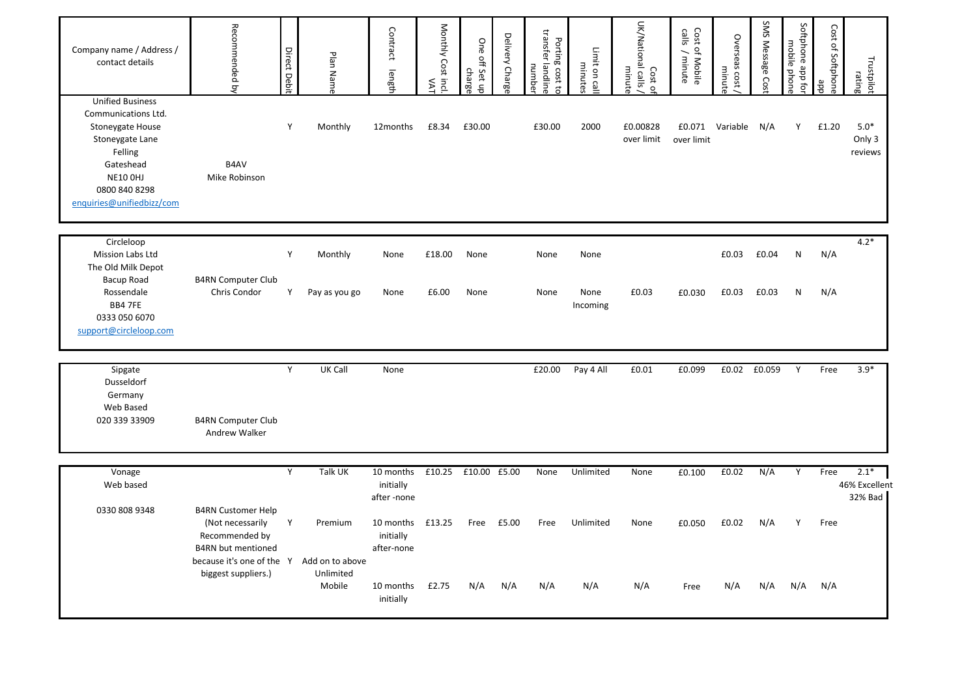| Company name / Address /<br>contact details                                                                                                                                           | Recommended<br>ਹੁ                                                                                                                                | Direct Debi | Plan Nam                   | Contract<br>length                   | Monthly Cost incl<br><b>NAT</b> | One off Set u<br>charge | Delivery Charg | transfer landline<br>Porting cost to<br>numbe | Limit on ca<br>minute | UK/National calls<br>minute<br>Costo | Cost of Mobile<br>calls / minute | Overseas cost<br>minut | SMS Message Co | Softphone app fo<br>mobile phon | Cost of Softphone<br>apl | Trustpilot<br>rating               |
|---------------------------------------------------------------------------------------------------------------------------------------------------------------------------------------|--------------------------------------------------------------------------------------------------------------------------------------------------|-------------|----------------------------|--------------------------------------|---------------------------------|-------------------------|----------------|-----------------------------------------------|-----------------------|--------------------------------------|----------------------------------|------------------------|----------------|---------------------------------|--------------------------|------------------------------------|
| <b>Unified Business</b><br>Communications Ltd.<br><b>Stoneygate House</b><br>Stoneygate Lane<br>Felling<br>Gateshead<br><b>NE10 0HJ</b><br>0800 840 8298<br>enquiries@unifiedbizz/com | B4AV<br>Mike Robinson                                                                                                                            | Y           | Monthly                    | 12months                             | £8.34                           | £30.00                  |                | £30.00                                        | 2000                  | £0.00828<br>over limit               | over limit                       | £0.071 Variable        | N/A            | Υ                               | £1.20                    | $5.0*$<br>Only 3<br>reviews        |
| Circleloop<br>Mission Labs Ltd                                                                                                                                                        |                                                                                                                                                  | Y           | Monthly                    | None                                 | £18.00                          | None                    |                | None                                          | None                  |                                      |                                  | £0.03                  | £0.04          | N                               | N/A                      | $4.2*$                             |
| The Old Milk Depot<br>Bacup Road<br>Rossendale<br>BB4 7FE<br>0333 050 6070<br>support@circleloop.com                                                                                  | <b>B4RN Computer Club</b><br>Chris Condor                                                                                                        | Y           | Pay as you go              | None                                 | £6.00                           | None                    |                | None                                          | None<br>Incoming      | £0.03                                | £0.030                           | £0.03                  | £0.03          | N                               | N/A                      |                                    |
| Sipgate<br>Dusseldorf<br>Germany<br>Web Based<br>020 339 33909                                                                                                                        | <b>B4RN Computer Club</b><br>Andrew Walker                                                                                                       | Y           | UK Call                    | None                                 |                                 |                         |                | £20.00                                        | Pay 4 All             | £0.01                                | £0.099                           | £0.02                  | £0.059         | Y                               | Free                     | $3.9*$                             |
|                                                                                                                                                                                       |                                                                                                                                                  |             |                            |                                      |                                 |                         |                |                                               |                       |                                      |                                  |                        |                |                                 |                          |                                    |
| Vonage<br>Web based                                                                                                                                                                   |                                                                                                                                                  | Y           | Talk UK                    | 10 months<br>initially<br>after-none | £10.25                          | £10.00 £5.00            |                | None                                          | Unlimited             | None                                 | £0.100                           | £0.02                  | N/A            | Y                               | Free                     | $2.1*$<br>46% Excellent<br>32% Bad |
| 0330 808 9348                                                                                                                                                                         | <b>B4RN Customer Help</b><br>(Not necessarily<br>Recommended by<br><b>B4RN</b> but mentioned<br>because it's one of the Y<br>biggest suppliers.) | Y           | Premium<br>Add on to above | 10 months<br>initially<br>after-none | £13.25                          | Free                    | £5.00          | Free                                          | Unlimited             | None                                 | £0.050                           | £0.02                  | N/A            | Y                               | Free                     |                                    |
|                                                                                                                                                                                       |                                                                                                                                                  |             | Unlimited<br>Mobile        | 10 months<br>initially               | £2.75                           | N/A                     | N/A            | N/A                                           | N/A                   | N/A                                  | Free                             | N/A                    | N/A            | N/A                             | N/A                      |                                    |